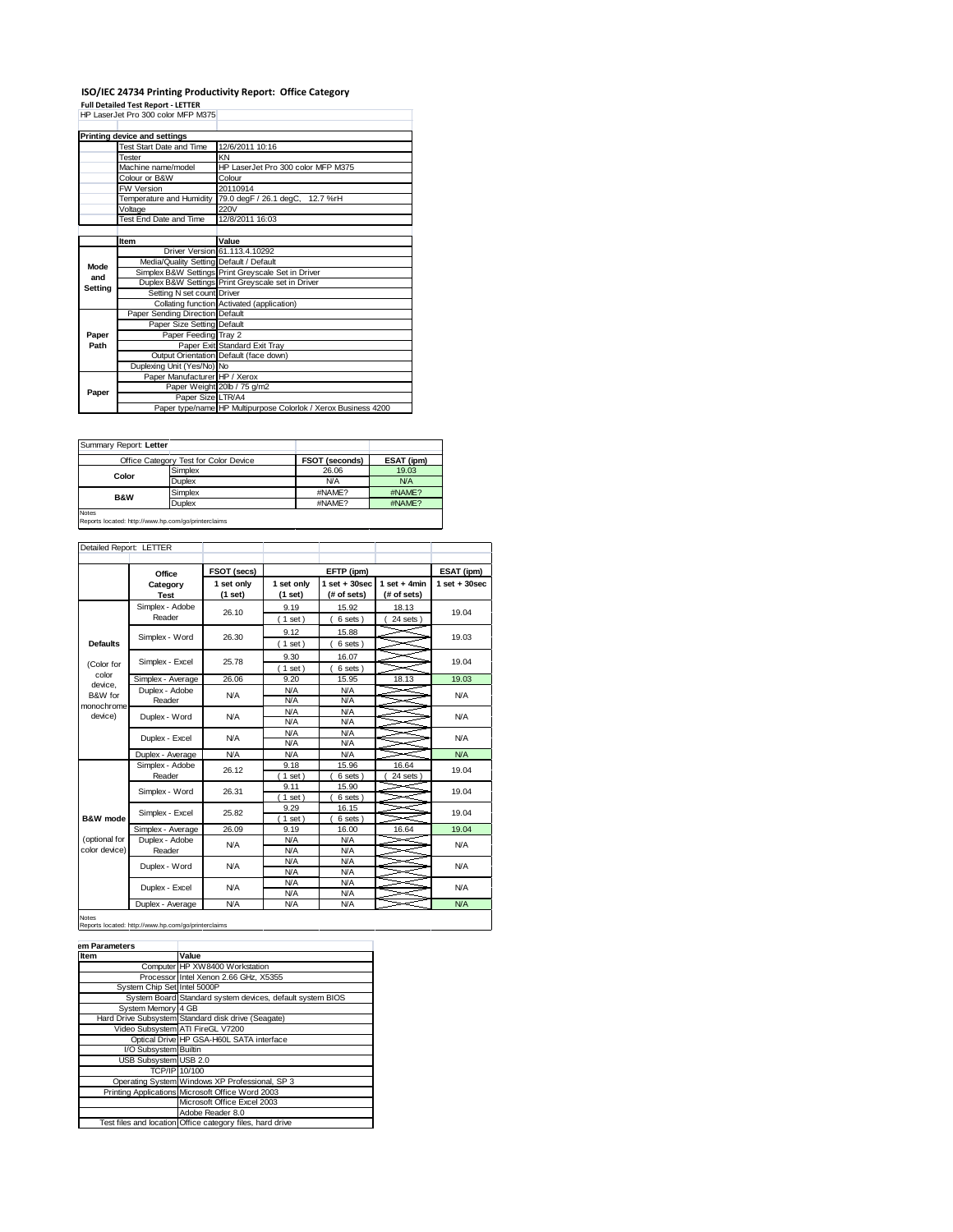## **ISO/IEC 24734 Printing Productivity Report: Office Category Full Detailed Test Report - LETTER** HP LaserJet Pro 300 color MFP M375

|         | Printing device and settings                              |                                                                |  |  |  |
|---------|-----------------------------------------------------------|----------------------------------------------------------------|--|--|--|
|         | Test Start Date and Time                                  | 12/6/2011 10:16                                                |  |  |  |
|         | Tester                                                    | KN                                                             |  |  |  |
|         | Machine name/model                                        | HP LaserJet Pro 300 color MFP M375                             |  |  |  |
|         | Colour or B&W                                             | Colour                                                         |  |  |  |
|         | <b>FW Version</b>                                         | 20110914                                                       |  |  |  |
|         | Temperature and Humidity                                  | 79.0 degF / 26.1 degC,<br>12.7 %rH                             |  |  |  |
|         | Voltage                                                   | 220V                                                           |  |  |  |
|         | Test End Date and Time                                    | 12/8/2011 16:03                                                |  |  |  |
|         |                                                           |                                                                |  |  |  |
| Item    |                                                           | Value                                                          |  |  |  |
|         |                                                           | Driver Version 61.113.4.10292                                  |  |  |  |
| Mode    | Media/Quality Setting Default / Default                   |                                                                |  |  |  |
|         | Simplex B&W Settings Print Greyscale Set in Driver<br>and |                                                                |  |  |  |
| Setting |                                                           | Duplex B&W Settings Print Greyscale set in Driver              |  |  |  |
|         | Setting N set count Driver                                |                                                                |  |  |  |
|         |                                                           | Collating function Activated (application)                     |  |  |  |
|         | Paper Sending Direction Default                           |                                                                |  |  |  |
|         | Paper Size Setting Default                                |                                                                |  |  |  |
| Paper   | Paper Feeding Tray 2                                      |                                                                |  |  |  |
| Path    | Paper Exit Standard Exit Tray                             |                                                                |  |  |  |
|         | Output Orientation Default (face down)                    |                                                                |  |  |  |
|         | Duplexing Unit (Yes/No) No                                |                                                                |  |  |  |
|         | Paper Manufacturer HP / Xerox                             |                                                                |  |  |  |
| Paper   |                                                           | Paper Weight 20lb / 75 g/m2                                    |  |  |  |
|         | Paper Size LTR/A4                                         |                                                                |  |  |  |
|         |                                                           | Paper type/name HP Multipurpose Colorlok / Xerox Business 4200 |  |  |  |

| Summary Report: Letter |                                                     |                       |            |
|------------------------|-----------------------------------------------------|-----------------------|------------|
|                        | Office Category Test for Color Device               | <b>FSOT (seconds)</b> | ESAT (ipm) |
| Color                  | Simplex                                             | 26.06                 | 19.03      |
|                        | <b>Duplex</b>                                       | N/A                   | <b>N/A</b> |
| <b>B&amp;W</b>         | Simplex                                             | #NAME?                | #NAME?     |
|                        | <b>Duplex</b>                                       | #NAME?                | #NAME?     |
| <b>Notes</b>           | Reports located: http://www.hp.com/go/printerclaims |                       |            |

| Detailed Report: LETTER        |                           |                         |                       |                                  |                               |                   |
|--------------------------------|---------------------------|-------------------------|-----------------------|----------------------------------|-------------------------------|-------------------|
|                                | Office                    | FSOT (secs)             |                       | EFTP (ipm)                       |                               | ESAT (ipm)        |
|                                | Category<br><b>Test</b>   | 1 set only<br>$(1$ set) | 1 set only<br>(1 set) | $1$ set $+30$ sec<br>(# of sets) | $1$ set + 4min<br>(# of sets) | $1$ set $+30$ sec |
|                                | Simplex - Adobe<br>Reader | 26.10                   | 9.19<br>(1 set)       | 15.92<br>6 sets)                 | 18.13<br>24 sets)             | 19.04             |
| <b>Defaults</b>                | Simplex - Word            | 26.30                   | 9.12<br>$(1$ set)     | 15.88<br>6 sets)                 |                               | 19.03             |
| (Color for                     | Simplex - Excel           | 25.78                   | 9.30<br>(1 set)       | 16.07<br>6 sets)                 |                               | 19.04             |
| color                          | Simplex - Average         | 26.06                   | 9.20                  | 15.95                            | 18.13                         | 19.03             |
| device.<br>B&W for             | Duplex - Adobe<br>Reader  | <b>N/A</b>              | <b>N/A</b><br>N/A     | <b>N/A</b><br><b>N/A</b>         |                               | <b>N/A</b>        |
| monochrome<br>device)          | Duplex - Word             | <b>N/A</b>              | N/A<br>N/A            | <b>N/A</b><br><b>N/A</b>         |                               | N/A               |
|                                | Duplex - Excel            | <b>N/A</b>              | N/A<br>N/A            | <b>N/A</b><br><b>N/A</b>         |                               | N/A               |
|                                | Duplex - Average          | N/A                     | N/A                   | <b>N/A</b>                       |                               | N/A               |
|                                | Simplex - Adobe<br>Reader | 26.12                   | 9.18<br>$1$ set)      | 15.96<br>6 sets )                | 16.64<br>24 sets              | 19.04             |
|                                | Simplex - Word            | 26.31                   | 9.11<br>$1$ set)      | 15.90<br>6 sets)                 |                               | 19.04             |
| B&W mode                       | Simplex - Excel           | 25.82                   | 9.29<br>$1$ set)      | 16.15<br>6 sets                  |                               | 19.04             |
|                                | Simplex - Average         | 26.09                   | 9.19                  | 16.00                            | 16.64                         | 19.04             |
| (optional for<br>color device) | Duplex - Adobe<br>Reader  | <b>N/A</b>              | <b>N/A</b><br>N/A     | <b>N/A</b><br><b>N/A</b>         |                               | N/A               |
|                                | Duplex - Word             | <b>N/A</b>              | <b>N/A</b><br>N/A     | <b>N/A</b><br><b>N/A</b>         |                               | N/A               |
|                                | Duplex - Excel            | <b>N/A</b>              | <b>N/A</b><br>N/A     | <b>N/A</b><br><b>N/A</b>         |                               | N/A               |
|                                | Duplex - Average          | <b>N/A</b>              | N/A                   | <b>N/A</b>                       |                               | N/A               |

Notes Reports located: http://www.hp.com/go/printerclaims

| <b>Item</b>                 | Value                                                     |
|-----------------------------|-----------------------------------------------------------|
|                             | Computer HP XW8400 Workstation                            |
|                             | Processor Intel Xenon 2.66 GHz, X5355                     |
| System Chip Set Intel 5000P |                                                           |
|                             | System Board Standard system devices, default system BIOS |
| System Memory 4 GB          |                                                           |
|                             | Hard Drive Subsystem Standard disk drive (Seagate)        |
|                             | Video Subsystem ATI FireGL V7200                          |
|                             | Optical Drive HP GSA-H60L SATA interface                  |
| I/O Subsystem Builtin       |                                                           |
| USB Subsystem USB 2.0       |                                                           |
|                             | TCP/IP 10/100                                             |
|                             | Operating System Windows XP Professional, SP 3            |
|                             | Printing Applications Microsoft Office Word 2003          |
|                             | Microsoft Office Excel 2003                               |
|                             | Adobe Reader 8.0                                          |
|                             | Test files and location Office category files, hard drive |